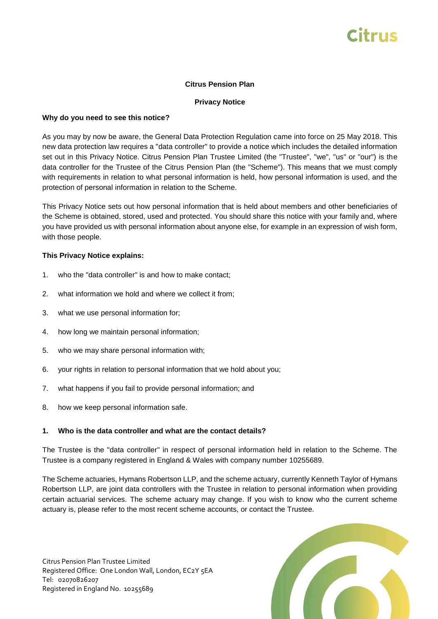# Citrus

## **Citrus Pension Plan**

## **Privacy Notice**

#### **Why do you need to see this notice?**

As you may by now be aware, the General Data Protection Regulation came into force on 25 May 2018. This new data protection law requires a "data controller" to provide a notice which includes the detailed information set out in this Privacy Notice. Citrus Pension Plan Trustee Limited (the "Trustee", "we", "us" or "our") is the data controller for the Trustee of the Citrus Pension Plan (the "Scheme"). This means that we must comply with requirements in relation to what personal information is held, how personal information is used, and the protection of personal information in relation to the Scheme.

This Privacy Notice sets out how personal information that is held about members and other beneficiaries of the Scheme is obtained, stored, used and protected. You should share this notice with your family and, where you have provided us with personal information about anyone else, for example in an expression of wish form, with those people.

#### **This Privacy Notice explains:**

- 1. who the "data controller" is and how to make contact;
- 2. what information we hold and where we collect it from;
- 3. what we use personal information for;
- 4. how long we maintain personal information;
- 5. who we may share personal information with;
- 6. your rights in relation to personal information that we hold about you;
- 7. what happens if you fail to provide personal information; and
- 8. how we keep personal information safe.

#### **1. Who is the data controller and what are the contact details?**

The Trustee is the "data controller" in respect of personal information held in relation to the Scheme. The Trustee is a company registered in England & Wales with company number 10255689.

The Scheme actuaries, Hymans Robertson LLP, and the scheme actuary, currently Kenneth Taylor of Hymans Robertson LLP, are joint data controllers with the Trustee in relation to personal information when providing certain actuarial services. The scheme actuary may change. If you wish to know who the current scheme actuary is, please refer to the most recent scheme accounts, or contact the Trustee.

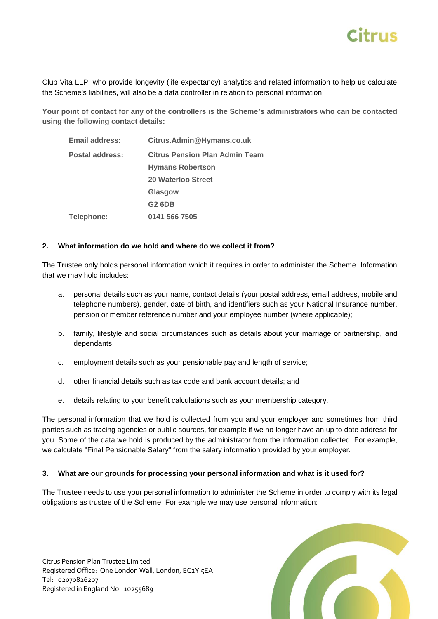

Club Vita LLP, who provide longevity (life expectancy) analytics and related information to help us calculate the Scheme's liabilities, will also be a data controller in relation to personal information.

**Your point of contact for any of the controllers is the Scheme's administrators who can be contacted using the following contact details:**

| Email address:  | Citrus.Admin@Hymans.co.uk      |
|-----------------|--------------------------------|
| Postal address: | Citrus Pension Plan Admin Team |
|                 | <b>Hymans Robertson</b>        |
|                 | 20 Waterloo Street             |
|                 | Glasgow                        |
|                 | G2 6DB                         |
| Telephone:      | 0141 566 7505                  |

#### **2. What information do we hold and where do we collect it from?**

The Trustee only holds personal information which it requires in order to administer the Scheme. Information that we may hold includes:

- a. personal details such as your name, contact details (your postal address, email address, mobile and telephone numbers), gender, date of birth, and identifiers such as your National Insurance number, pension or member reference number and your employee number (where applicable);
- b. family, lifestyle and social circumstances such as details about your marriage or partnership, and dependants;
- c. employment details such as your pensionable pay and length of service;
- d. other financial details such as tax code and bank account details; and
- e. details relating to your benefit calculations such as your membership category.

The personal information that we hold is collected from you and your employer and sometimes from third parties such as tracing agencies or public sources, for example if we no longer have an up to date address for you. Some of the data we hold is produced by the administrator from the information collected. For example, we calculate "Final Pensionable Salary" from the salary information provided by your employer.

## **3. What are our grounds for processing your personal information and what is it used for?**

The Trustee needs to use your personal information to administer the Scheme in order to comply with its legal obligations as trustee of the Scheme. For example we may use personal information:

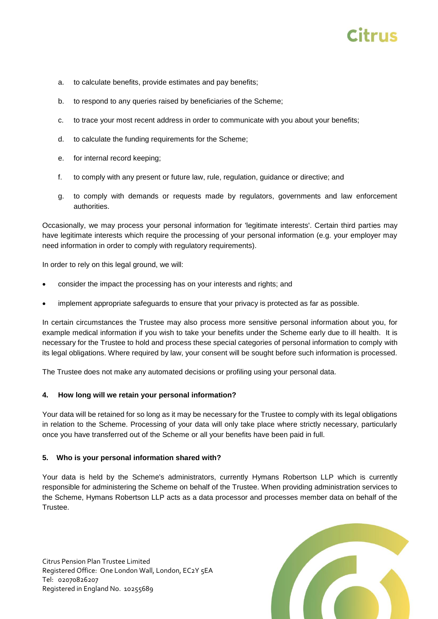# Citruc

- a. to calculate benefits, provide estimates and pay benefits;
- b. to respond to any queries raised by beneficiaries of the Scheme;
- c. to trace your most recent address in order to communicate with you about your benefits;
- d. to calculate the funding requirements for the Scheme;
- e. for internal record keeping;
- f. to comply with any present or future law, rule, regulation, guidance or directive; and
- g. to comply with demands or requests made by regulators, governments and law enforcement authorities.

Occasionally, we may process your personal information for 'legitimate interests'. Certain third parties may have legitimate interests which require the processing of your personal information (e.g. your employer may need information in order to comply with regulatory requirements).

In order to rely on this legal ground, we will:

- consider the impact the processing has on your interests and rights; and
- implement appropriate safeguards to ensure that your privacy is protected as far as possible.

In certain circumstances the Trustee may also process more sensitive personal information about you, for example medical information if you wish to take your benefits under the Scheme early due to ill health. It is necessary for the Trustee to hold and process these special categories of personal information to comply with its legal obligations. Where required by law, your consent will be sought before such information is processed.

The Trustee does not make any automated decisions or profiling using your personal data.

## **4. How long will we retain your personal information?**

Your data will be retained for so long as it may be necessary for the Trustee to comply with its legal obligations in relation to the Scheme. Processing of your data will only take place where strictly necessary, particularly once you have transferred out of the Scheme or all your benefits have been paid in full.

## **5. Who is your personal information shared with?**

Your data is held by the Scheme's administrators, currently Hymans Robertson LLP which is currently responsible for administering the Scheme on behalf of the Trustee. When providing administration services to the Scheme, Hymans Robertson LLP acts as a data processor and processes member data on behalf of the Trustee.

Citrus Pension Plan Trustee Limited Registered Office: One London Wall, London, EC2Y 5EA Tel: 02070826207 Registered in England No. 10255689

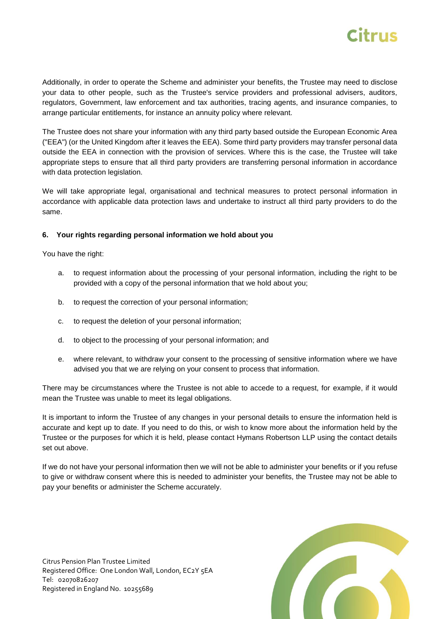

Additionally, in order to operate the Scheme and administer your benefits, the Trustee may need to disclose your data to other people, such as the Trustee's service providers and professional advisers, auditors, regulators, Government, law enforcement and tax authorities, tracing agents, and insurance companies, to arrange particular entitlements, for instance an annuity policy where relevant.

The Trustee does not share your information with any third party based outside the European Economic Area ("EEA") (or the United Kingdom after it leaves the EEA). Some third party providers may transfer personal data outside the EEA in connection with the provision of services. Where this is the case, the Trustee will take appropriate steps to ensure that all third party providers are transferring personal information in accordance with data protection legislation.

We will take appropriate legal, organisational and technical measures to protect personal information in accordance with applicable data protection laws and undertake to instruct all third party providers to do the same.

## **6. Your rights regarding personal information we hold about you**

You have the right:

- a. to request information about the processing of your personal information, including the right to be provided with a copy of the personal information that we hold about you;
- b. to request the correction of your personal information;
- c. to request the deletion of your personal information;
- d. to object to the processing of your personal information; and
- e. where relevant, to withdraw your consent to the processing of sensitive information where we have advised you that we are relying on your consent to process that information.

There may be circumstances where the Trustee is not able to accede to a request, for example, if it would mean the Trustee was unable to meet its legal obligations.

It is important to inform the Trustee of any changes in your personal details to ensure the information held is accurate and kept up to date. If you need to do this, or wish to know more about the information held by the Trustee or the purposes for which it is held, please contact Hymans Robertson LLP using the contact details set out above.

If we do not have your personal information then we will not be able to administer your benefits or if you refuse to give or withdraw consent where this is needed to administer your benefits, the Trustee may not be able to pay your benefits or administer the Scheme accurately.

Citrus Pension Plan Trustee Limited Registered Office: One London Wall, London, EC2Y 5EA Tel: 02070826207 Registered in England No. 10255689